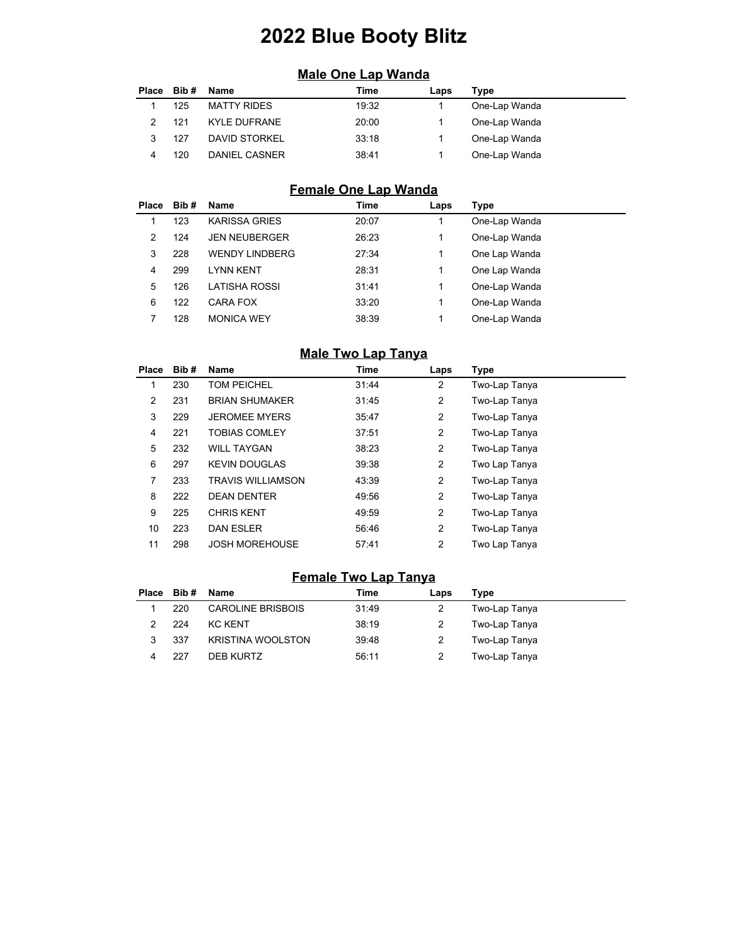# **2022 Blue Booty Blitz**

# **Male One Lap Wanda**

| <b>Place</b> | Bib # | Name               | Time  | Laps | Type          |
|--------------|-------|--------------------|-------|------|---------------|
|              | 125   | <b>MATTY RIDES</b> | 19:32 |      | One-Lap Wanda |
|              | 121   | KYLE DUFRANE       | 20:00 |      | One-Lap Wanda |
|              | 127   | DAVID STORKEL      | 33:18 |      | One-Lap Wanda |
|              | 120   | DANIEL CASNER      | 38:41 |      | One-Lap Wanda |

# **Female One Lap Wanda**

| Place | Bib# | Name                  | Time  | Laps | Type          |  |
|-------|------|-----------------------|-------|------|---------------|--|
|       | 123  | <b>KARISSA GRIES</b>  | 20:07 |      | One-Lap Wanda |  |
| 2     | 124  | <b>JEN NEUBERGER</b>  | 26:23 | 1    | One-Lap Wanda |  |
| 3     | 228  | <b>WENDY LINDBERG</b> | 27:34 | 1    | One Lap Wanda |  |
| 4     | 299  | <b>LYNN KENT</b>      | 28:31 | 1    | One Lap Wanda |  |
| 5     | 126  | LATISHA ROSSI         | 31:41 | 1    | One-Lap Wanda |  |
| 6     | 122  | <b>CARA FOX</b>       | 33:20 | 1    | One-Lap Wanda |  |
|       | 128  | <b>MONICA WEY</b>     | 38:39 | 1    | One-Lap Wanda |  |

#### **Male Two Lap Tanya**

| <b>Place</b> | Bib# | Name                     | Time  | Laps           | Type          |
|--------------|------|--------------------------|-------|----------------|---------------|
| 1            | 230  | <b>TOM PEICHEL</b>       | 31:44 | 2              | Two-Lap Tanya |
| 2            | 231  | <b>BRIAN SHUMAKER</b>    | 31:45 | $\overline{2}$ | Two-Lap Tanya |
| 3            | 229  | <b>JEROMEE MYERS</b>     | 35:47 | 2              | Two-Lap Tanya |
| 4            | 221  | <b>TOBIAS COMLEY</b>     | 37:51 | $\overline{2}$ | Two-Lap Tanya |
| 5            | 232  | <b>WILL TAYGAN</b>       | 38:23 | $\overline{2}$ | Two-Lap Tanya |
| 6            | 297  | <b>KEVIN DOUGLAS</b>     | 39:38 | $\overline{2}$ | Two Lap Tanya |
| 7            | 233  | <b>TRAVIS WILLIAMSON</b> | 43:39 | 2              | Two-Lap Tanya |
| 8            | 222  | <b>DEAN DENTER</b>       | 49:56 | $\overline{2}$ | Two-Lap Tanya |
| 9            | 225  | <b>CHRIS KENT</b>        | 49:59 | $\overline{2}$ | Two-Lap Tanya |
| 10           | 223  | <b>DAN ESLER</b>         | 56:46 | $\overline{2}$ | Two-Lap Tanya |
| 11           | 298  | <b>JOSH MOREHOUSE</b>    | 57:41 | $\overline{2}$ | Two Lap Tanya |

#### **Female Two Lap Tanya**

|   | Place Bib# Name |                          | Time  | Laps | Type          |
|---|-----------------|--------------------------|-------|------|---------------|
|   | 220             | <b>CAROLINE BRISBOIS</b> | 31:49 |      | Two-Lap Tanya |
|   | 224             | KC KFNT                  | 38:19 |      | Two-Lap Tanya |
| 3 | 337             | <b>KRISTINA WOOLSTON</b> | 39:48 |      | Two-Lap Tanya |
|   | 227             | DEB KURTZ                | 56:11 |      | Two-Lap Tanya |